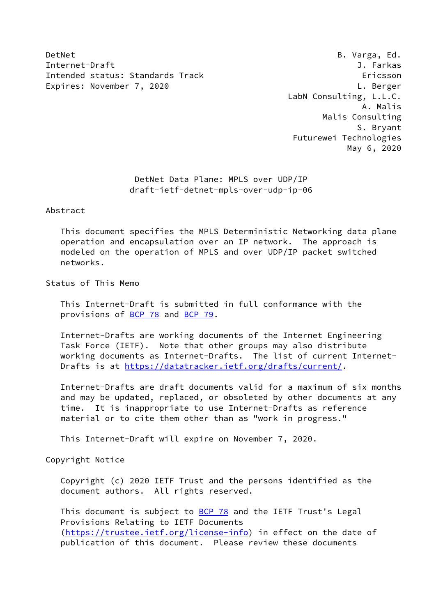DetNet B. Varga, Ed. Internet-Draft J. Farkas Intended status: Standards Track Ericsson Expires: November 7, 2020 Castle and the U. Berger Capture of L. Berger

 LabN Consulting, L.L.C. A. Malis Malis Consulting S. Bryant Futurewei Technologies May 6, 2020

> DetNet Data Plane: MPLS over UDP/IP draft-ietf-detnet-mpls-over-udp-ip-06

Abstract

 This document specifies the MPLS Deterministic Networking data plane operation and encapsulation over an IP network. The approach is modeled on the operation of MPLS and over UDP/IP packet switched networks.

Status of This Memo

 This Internet-Draft is submitted in full conformance with the provisions of [BCP 78](https://datatracker.ietf.org/doc/pdf/bcp78) and [BCP 79](https://datatracker.ietf.org/doc/pdf/bcp79).

 Internet-Drafts are working documents of the Internet Engineering Task Force (IETF). Note that other groups may also distribute working documents as Internet-Drafts. The list of current Internet- Drafts is at<https://datatracker.ietf.org/drafts/current/>.

 Internet-Drafts are draft documents valid for a maximum of six months and may be updated, replaced, or obsoleted by other documents at any time. It is inappropriate to use Internet-Drafts as reference material or to cite them other than as "work in progress."

This Internet-Draft will expire on November 7, 2020.

Copyright Notice

 Copyright (c) 2020 IETF Trust and the persons identified as the document authors. All rights reserved.

This document is subject to **[BCP 78](https://datatracker.ietf.org/doc/pdf/bcp78)** and the IETF Trust's Legal Provisions Relating to IETF Documents [\(https://trustee.ietf.org/license-info](https://trustee.ietf.org/license-info)) in effect on the date of publication of this document. Please review these documents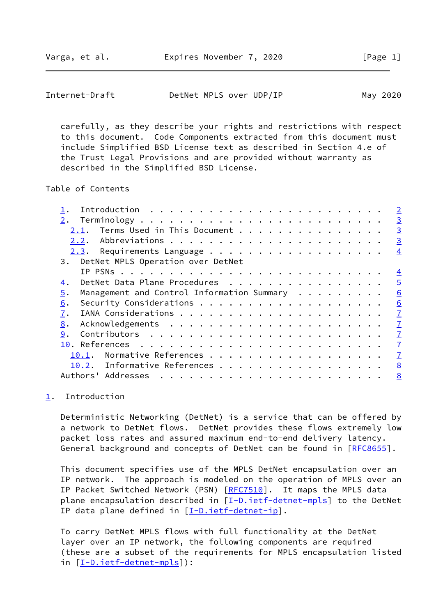Varga, et al. **Expires November 7, 2020** [Page 1]

<span id="page-1-1"></span>Internet-Draft DetNet MPLS over UDP/IP May 2020

 carefully, as they describe your rights and restrictions with respect to this document. Code Components extracted from this document must include Simplified BSD License text as described in Section 4.e of the Trust Legal Provisions and are provided without warranty as described in the Simplified BSD License.

Table of Contents

|                                                  | $\overline{2}$ |
|--------------------------------------------------|----------------|
| 2.                                               | $\overline{3}$ |
| Terms Used in This Document<br>2.1.              | $\overline{3}$ |
| 2.2.                                             | $\overline{3}$ |
|                                                  | $\overline{4}$ |
| 3. DetNet MPLS Operation over DetNet             |                |
|                                                  | $\overline{4}$ |
| DetNet Data Plane Procedures<br>4.               | $\overline{5}$ |
| Management and Control Information Summary<br>5. | 6              |
| 6.                                               | 6              |
| 7.                                               | $\overline{1}$ |
| 8.                                               | $\overline{1}$ |
| 9.                                               | $\overline{1}$ |
|                                                  | $\overline{1}$ |
| Normative References<br>10.1.                    | $\overline{1}$ |
| 10.2. Informative References                     | 8              |
| Authors' Addresses                               | 8              |
|                                                  |                |

## <span id="page-1-0"></span>[1](#page-1-0). Introduction

 Deterministic Networking (DetNet) is a service that can be offered by a network to DetNet flows. DetNet provides these flows extremely low packet loss rates and assured maximum end-to-end delivery latency. General background and concepts of DetNet can be found in [[RFC8655](https://datatracker.ietf.org/doc/pdf/rfc8655)].

 This document specifies use of the MPLS DetNet encapsulation over an IP network. The approach is modeled on the operation of MPLS over an IP Packet Switched Network (PSN) [\[RFC7510](https://datatracker.ietf.org/doc/pdf/rfc7510)]. It maps the MPLS data plane encapsulation described in [\[I-D.ietf-detnet-mpls](#page-7-5)] to the DetNet IP data plane defined in [\[I-D.ietf-detnet-ip\]](#page-7-6).

 To carry DetNet MPLS flows with full functionality at the DetNet layer over an IP network, the following components are required (these are a subset of the requirements for MPLS encapsulation listed in [[I-D.ietf-detnet-mpls\]](#page-7-5)):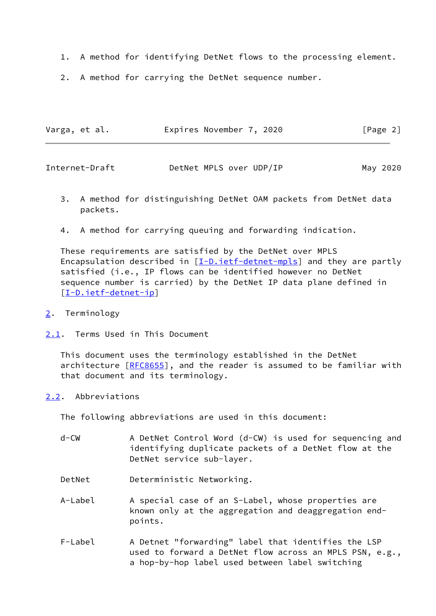- 1. A method for identifying DetNet flows to the processing element.
- 2. A method for carrying the DetNet sequence number.

| Varga, et al. | Expires November 7, 2020 | [Page 2] |
|---------------|--------------------------|----------|
|               |                          |          |

<span id="page-2-1"></span>

| Internet-Draft |  | DetNet MPLS over UDP/IP | May 2020 |
|----------------|--|-------------------------|----------|
|----------------|--|-------------------------|----------|

- 3. A method for distinguishing DetNet OAM packets from DetNet data packets.
- 4. A method for carrying queuing and forwarding indication.

 These requirements are satisfied by the DetNet over MPLS Encapsulation described in  $[I-D.iett-detnet-mpls]$  and they are partly satisfied (i.e., IP flows can be identified however no DetNet sequence number is carried) by the DetNet IP data plane defined in [\[I-D.ietf-detnet-ip\]](#page-7-6)

- <span id="page-2-0"></span>[2](#page-2-0). Terminology
- <span id="page-2-2"></span>[2.1](#page-2-2). Terms Used in This Document

 This document uses the terminology established in the DetNet architecture [\[RFC8655](https://datatracker.ietf.org/doc/pdf/rfc8655)], and the reader is assumed to be familiar with that document and its terminology.

## <span id="page-2-3"></span>[2.2](#page-2-3). Abbreviations

The following abbreviations are used in this document:

| $d$ –CW | A DetNet Control Word (d-CW) is used for sequencing and<br>identifying duplicate packets of a DetNet flow at the<br>DetNet service sub-layer. |
|---------|-----------------------------------------------------------------------------------------------------------------------------------------------|
| DetNet  | Deterministic Networking.                                                                                                                     |
| A-Label | A special case of an S-Label, whose properties are<br>known only at the aggregation and deaggregation end-<br>points.                         |
| F-Label | A Detnet "forwarding" label that identifies the LSP<br>used to forward a DetNet flow across an MPLS PSN, e.g.,                                |

a hop-by-hop label used between label switching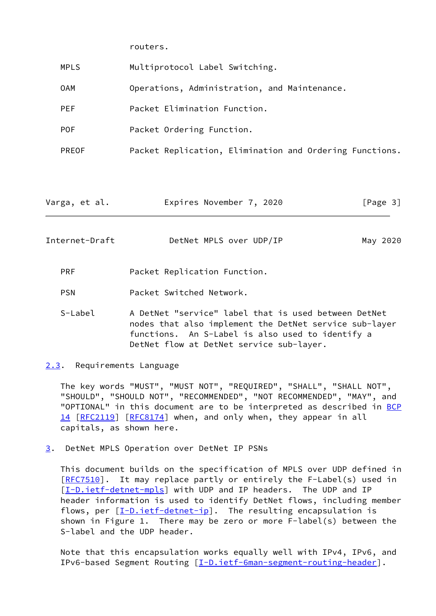routers.

| <b>MPLS</b> | Multiprotocol Label Switching.                          |
|-------------|---------------------------------------------------------|
| 0AM         | Operations, Administration, and Maintenance.            |
| <b>PEF</b>  | Packet Elimination Function.                            |
| <b>POF</b>  | Packet Ordering Function.                               |
| PREOF       | Packet Replication, Elimination and Ordering Functions. |
|             |                                                         |
|             |                                                         |

| Varga, et al. | Expires November 7, 2020 |  | [Page 3] |  |
|---------------|--------------------------|--|----------|--|
|               |                          |  |          |  |

<span id="page-3-1"></span>Internet-Draft DetNet MPLS over UDP/IP May 2020

PRF Packet Replication Function.

PSN Packet Switched Network.

 S-Label A DetNet "service" label that is used between DetNet nodes that also implement the DetNet service sub-layer functions. An S-Label is also used to identify a DetNet flow at DetNet service sub-layer.

<span id="page-3-0"></span>[2.3](#page-3-0). Requirements Language

 The key words "MUST", "MUST NOT", "REQUIRED", "SHALL", "SHALL NOT", "SHOULD", "SHOULD NOT", "RECOMMENDED", "NOT RECOMMENDED", "MAY", and "OPTIONAL" in this document are to be interpreted as described in [BCP](https://datatracker.ietf.org/doc/pdf/bcp14) [14](https://datatracker.ietf.org/doc/pdf/bcp14) [[RFC2119\]](https://datatracker.ietf.org/doc/pdf/rfc2119) [\[RFC8174](https://datatracker.ietf.org/doc/pdf/rfc8174)] when, and only when, they appear in all capitals, as shown here.

<span id="page-3-2"></span>[3](#page-3-2). DetNet MPLS Operation over DetNet IP PSNs

 This document builds on the specification of MPLS over UDP defined in [\[RFC7510](https://datatracker.ietf.org/doc/pdf/rfc7510)]. It may replace partly or entirely the F-Label(s) used in [\[I-D.ietf-detnet-mpls](#page-7-5)] with UDP and IP headers. The UDP and IP header information is used to identify DetNet flows, including member flows, per [[I-D.ietf-detnet-ip\]](#page-7-6). The resulting encapsulation is shown in Figure 1. There may be zero or more F-label(s) between the S-label and the UDP header.

 Note that this encapsulation works equally well with IPv4, IPv6, and IPv6-based Segment Routing [[I-D.ietf-6man-segment-routing-header\]](#page-8-0).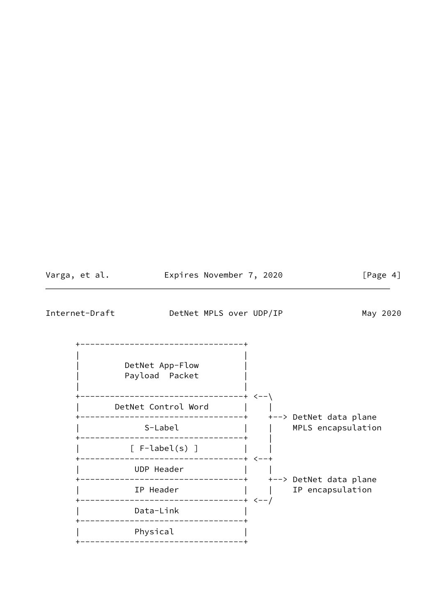<span id="page-4-0"></span>

| Varga, et al.  | Expires November 7, 2020                                                        |  | [Page 4]           |
|----------------|---------------------------------------------------------------------------------|--|--------------------|
| Internet-Draft | DetNet MPLS over UDP/IP                                                         |  | May 2020           |
|                | ------------------------------+<br>DetNet App-Flow<br>Payload Packet            |  |                    |
|                | DetNet Control Word                                                             |  |                    |
|                | $S-Label$    <br>$[$ F-label(s) $]$                                             |  | MPLS encapsulation |
|                | UDP Header                                                                      |  |                    |
|                | IP Header [                                                                     |  | IP encapsulation   |
|                | --------------------------------+ <--/<br>Data-Link                             |  |                    |
|                | -------------------------------+<br>Physical<br>------------------------------+ |  |                    |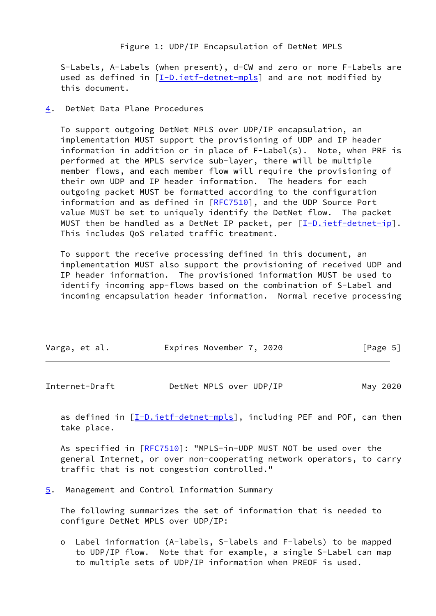Figure 1: UDP/IP Encapsulation of DetNet MPLS

 S-Labels, A-Labels (when present), d-CW and zero or more F-Labels are used as defined in [[I-D.ietf-detnet-mpls\]](#page-7-5) and are not modified by this document.

<span id="page-5-0"></span>[4](#page-5-0). DetNet Data Plane Procedures

 To support outgoing DetNet MPLS over UDP/IP encapsulation, an implementation MUST support the provisioning of UDP and IP header information in addition or in place of F-Label(s). Note, when PRF is performed at the MPLS service sub-layer, there will be multiple member flows, and each member flow will require the provisioning of their own UDP and IP header information. The headers for each outgoing packet MUST be formatted according to the configuration information and as defined in [[RFC7510](https://datatracker.ietf.org/doc/pdf/rfc7510)], and the UDP Source Port value MUST be set to uniquely identify the DetNet flow. The packet MUST then be handled as a DetNet IP packet, per [\[I-D.ietf-detnet-ip\]](#page-7-6). This includes QoS related traffic treatment.

 To support the receive processing defined in this document, an implementation MUST also support the provisioning of received UDP and IP header information. The provisioned information MUST be used to identify incoming app-flows based on the combination of S-Label and incoming encapsulation header information. Normal receive processing

| Varga, et al. | Expires November 7, 2020 | [Page 5] |
|---------------|--------------------------|----------|
|               |                          |          |

<span id="page-5-2"></span>

| Internet-Draft | DetNet MPLS over UDP/IP | May 2020 |
|----------------|-------------------------|----------|
|----------------|-------------------------|----------|

as defined in  $[I-D.iett-detnet-mpls]$ , including PEF and POF, can then take place.

 As specified in [\[RFC7510](https://datatracker.ietf.org/doc/pdf/rfc7510)]: "MPLS-in-UDP MUST NOT be used over the general Internet, or over non-cooperating network operators, to carry traffic that is not congestion controlled."

<span id="page-5-1"></span>[5](#page-5-1). Management and Control Information Summary

 The following summarizes the set of information that is needed to configure DetNet MPLS over UDP/IP:

 o Label information (A-labels, S-labels and F-labels) to be mapped to UDP/IP flow. Note that for example, a single S-Label can map to multiple sets of UDP/IP information when PREOF is used.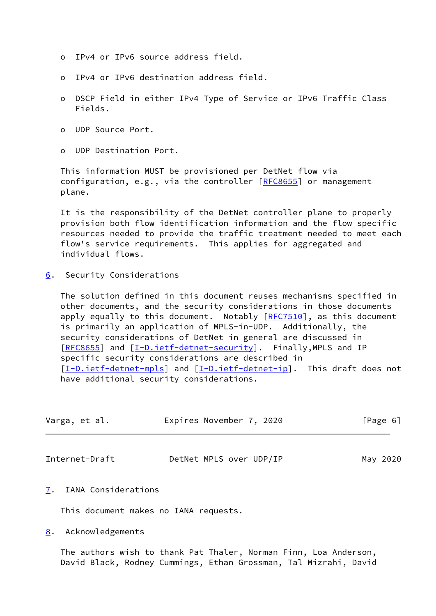- o IPv4 or IPv6 source address field.
- o IPv4 or IPv6 destination address field.
- o DSCP Field in either IPv4 Type of Service or IPv6 Traffic Class Fields.
- o UDP Source Port.
- o UDP Destination Port.

 This information MUST be provisioned per DetNet flow via configuration, e.g., via the controller  $[RECS655]$  or management plane.

 It is the responsibility of the DetNet controller plane to properly provision both flow identification information and the flow specific resources needed to provide the traffic treatment needed to meet each flow's service requirements. This applies for aggregated and individual flows.

<span id="page-6-0"></span>[6](#page-6-0). Security Considerations

 The solution defined in this document reuses mechanisms specified in other documents, and the security considerations in those documents apply equally to this document. Notably  $[REC7510]$ , as this document is primarily an application of MPLS-in-UDP. Additionally, the security considerations of DetNet in general are discussed in [\[RFC8655](https://datatracker.ietf.org/doc/pdf/rfc8655)] and [[I-D.ietf-detnet-security\]](#page-8-1). Finally, MPLS and IP specific security considerations are described in [\[I-D.ietf-detnet-mpls](#page-7-5)] and [[I-D.ietf-detnet-ip\]](#page-7-6). This draft does not have additional security considerations.

| Varga, et al. | Expires November 7, 2020 | [Page 6] |
|---------------|--------------------------|----------|
|               |                          |          |

<span id="page-6-2"></span>Internet-Draft DetNet MPLS over UDP/IP May 2020

<span id="page-6-1"></span>[7](#page-6-1). IANA Considerations

This document makes no IANA requests.

<span id="page-6-3"></span>[8](#page-6-3). Acknowledgements

 The authors wish to thank Pat Thaler, Norman Finn, Loa Anderson, David Black, Rodney Cummings, Ethan Grossman, Tal Mizrahi, David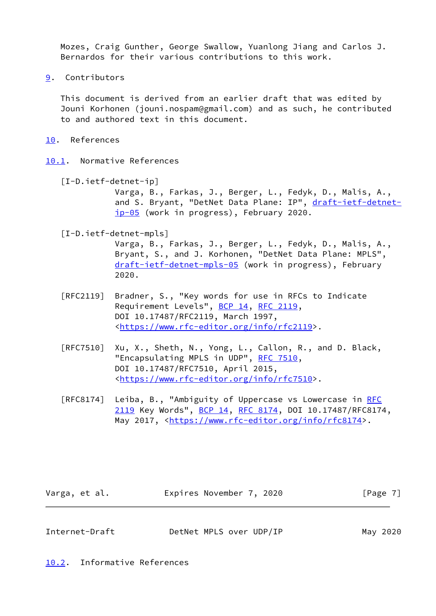Mozes, Craig Gunther, George Swallow, Yuanlong Jiang and Carlos J. Bernardos for their various contributions to this work.

<span id="page-7-0"></span>[9](#page-7-0). Contributors

 This document is derived from an earlier draft that was edited by Jouni Korhonen (jouni.nospam@gmail.com) and as such, he contributed to and authored text in this document.

- <span id="page-7-1"></span>[10.](#page-7-1) References
- <span id="page-7-6"></span><span id="page-7-2"></span>[10.1](#page-7-2). Normative References
	- [I-D.ietf-detnet-ip] Varga, B., Farkas, J., Berger, L., Fedyk, D., Malis, A., and S. Bryant, "DetNet Data Plane: IP", [draft-ietf-detnet](https://datatracker.ietf.org/doc/pdf/draft-ietf-detnet-ip-05) [ip-05](https://datatracker.ietf.org/doc/pdf/draft-ietf-detnet-ip-05) (work in progress), February 2020.
	- [I-D.ietf-detnet-mpls]

<span id="page-7-5"></span> Varga, B., Farkas, J., Berger, L., Fedyk, D., Malis, A., Bryant, S., and J. Korhonen, "DetNet Data Plane: MPLS", [draft-ietf-detnet-mpls-05](https://datatracker.ietf.org/doc/pdf/draft-ietf-detnet-mpls-05) (work in progress), February 2020.

- [RFC2119] Bradner, S., "Key words for use in RFCs to Indicate Requirement Levels", [BCP 14](https://datatracker.ietf.org/doc/pdf/bcp14), [RFC 2119](https://datatracker.ietf.org/doc/pdf/rfc2119), DOI 10.17487/RFC2119, March 1997, <[https://www.rfc-editor.org/info/rfc2119>](https://www.rfc-editor.org/info/rfc2119).
- [RFC7510] Xu, X., Sheth, N., Yong, L., Callon, R., and D. Black, "Encapsulating MPLS in UDP", [RFC 7510](https://datatracker.ietf.org/doc/pdf/rfc7510), DOI 10.17487/RFC7510, April 2015, <[https://www.rfc-editor.org/info/rfc7510>](https://www.rfc-editor.org/info/rfc7510).
- [RFC8174] Leiba, B., "Ambiguity of Uppercase vs Lowercase in [RFC](https://datatracker.ietf.org/doc/pdf/rfc2119) [2119](https://datatracker.ietf.org/doc/pdf/rfc2119) Key Words", [BCP 14](https://datatracker.ietf.org/doc/pdf/bcp14), [RFC 8174,](https://datatracker.ietf.org/doc/pdf/rfc8174) DOI 10.17487/RFC8174, May 2017, [<https://www.rfc-editor.org/info/rfc8174](https://www.rfc-editor.org/info/rfc8174)>.

| Varga, et al. | Expires November 7, 2020 |  | [Page 7] |
|---------------|--------------------------|--|----------|
|---------------|--------------------------|--|----------|

<span id="page-7-4"></span>Internet-Draft DetNet MPLS over UDP/IP May 2020

<span id="page-7-3"></span>[10.2](#page-7-3). Informative References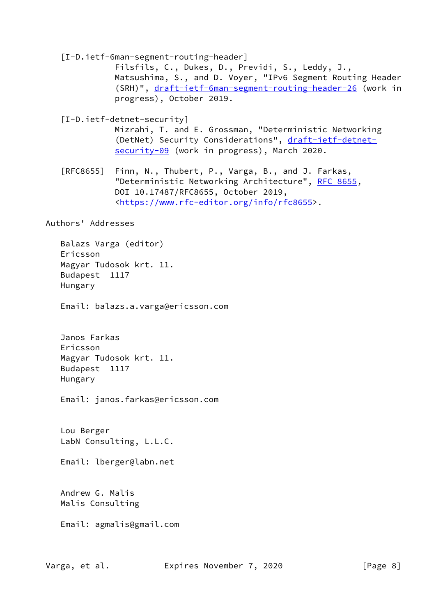<span id="page-8-1"></span><span id="page-8-0"></span> [I-D.ietf-6man-segment-routing-header] Filsfils, C., Dukes, D., Previdi, S., Leddy, J., Matsushima, S., and D. Voyer, "IPv6 Segment Routing Header (SRH)", [draft-ietf-6man-segment-routing-header-26](https://datatracker.ietf.org/doc/pdf/draft-ietf-6man-segment-routing-header-26) (work in progress), October 2019. [I-D.ietf-detnet-security] Mizrahi, T. and E. Grossman, "Deterministic Networking (DetNet) Security Considerations", [draft-ietf-detnet](https://datatracker.ietf.org/doc/pdf/draft-ietf-detnet-security-09) [security-09](https://datatracker.ietf.org/doc/pdf/draft-ietf-detnet-security-09) (work in progress), March 2020. [RFC8655] Finn, N., Thubert, P., Varga, B., and J. Farkas, "Deterministic Networking Architecture", [RFC 8655,](https://datatracker.ietf.org/doc/pdf/rfc8655) DOI 10.17487/RFC8655, October 2019, <[https://www.rfc-editor.org/info/rfc8655>](https://www.rfc-editor.org/info/rfc8655). Authors' Addresses Balazs Varga (editor) Ericsson Magyar Tudosok krt. 11. Budapest 1117 Hungary Email: balazs.a.varga@ericsson.com Janos Farkas Ericsson Magyar Tudosok krt. 11. Budapest 1117 Hungary Email: janos.farkas@ericsson.com

 Lou Berger LabN Consulting, L.L.C.

Email: lberger@labn.net

 Andrew G. Malis Malis Consulting

Email: agmalis@gmail.com